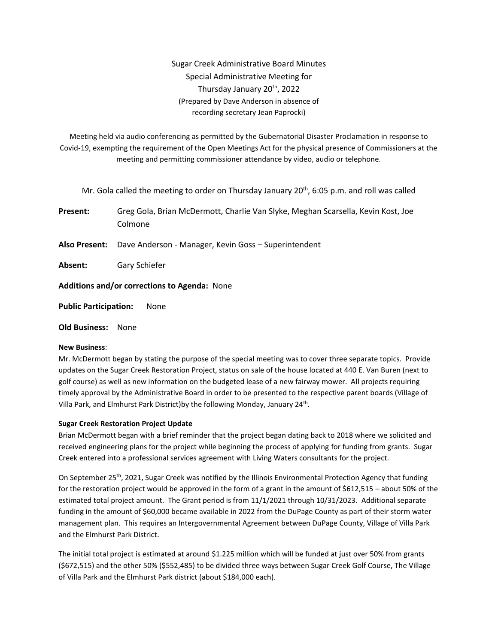# Sugar Creek Administrative Board Minutes Special Administrative Meeting for Thursday January 20th, 2022 (Prepared by Dave Anderson in absence of recording secretary Jean Paprocki)

Meeting held via audio conferencing as permitted by the Gubernatorial Disaster Proclamation in response to Covid-19, exempting the requirement of the Open Meetings Act for the physical presence of Commissioners at the meeting and permitting commissioner attendance by video, audio or telephone.

Mr. Gola called the meeting to order on Thursday January  $20<sup>th</sup>$ , 6:05 p.m. and roll was called

**Present:** Greg Gola, Brian McDermott, Charlie Van Slyke, Meghan Scarsella, Kevin Kost, Joe Colmone

**Also Present:** Dave Anderson - Manager, Kevin Goss – Superintendent

**Absent:** Gary Schiefer

**Additions and/or corrections to Agenda:** None

**Public Participation:** None

**Old Business:** None

## **New Business**:

Mr. McDermott began by stating the purpose of the special meeting was to cover three separate topics. Provide updates on the Sugar Creek Restoration Project, status on sale of the house located at 440 E. Van Buren (next to golf course) as well as new information on the budgeted lease of a new fairway mower. All projects requiring timely approval by the Administrative Board in order to be presented to the respective parent boards (Village of Villa Park, and Elmhurst Park District)by the following Monday, January 24<sup>th</sup>.

### **Sugar Creek Restoration Project Update**

Brian McDermott began with a brief reminder that the project began dating back to 2018 where we solicited and received engineering plans for the project while beginning the process of applying for funding from grants. Sugar Creek entered into a professional services agreement with Living Waters consultants for the project.

On September 25th, 2021, Sugar Creek was notified by the Illinois Environmental Protection Agency that funding for the restoration project would be approved in the form of a grant in the amount of \$612,515 – about 50% of the estimated total project amount. The Grant period is from 11/1/2021 through 10/31/2023. Additional separate funding in the amount of \$60,000 became available in 2022 from the DuPage County as part of their storm water management plan. This requires an Intergovernmental Agreement between DuPage County, Village of Villa Park and the Elmhurst Park District.

The initial total project is estimated at around \$1.225 million which will be funded at just over 50% from grants (\$672,515) and the other 50% (\$552,485) to be divided three ways between Sugar Creek Golf Course, The Village of Villa Park and the Elmhurst Park district (about \$184,000 each).